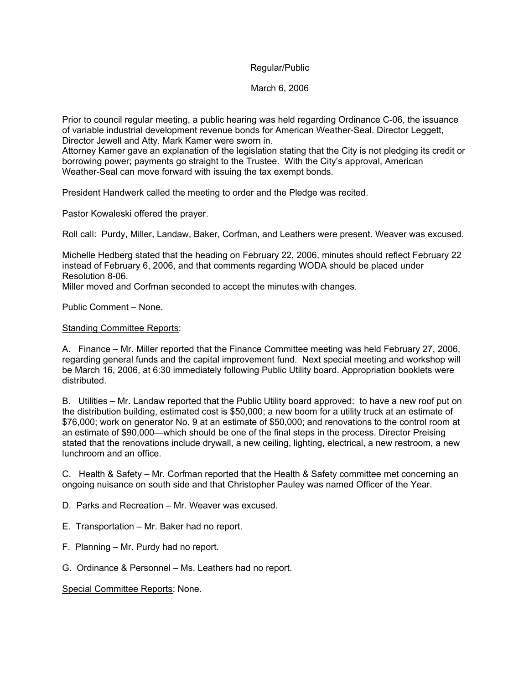### Regular/Public

March 6, 2006

Prior to council regular meeting, a public hearing was held regarding Ordinance C-06, the issuance of variable industrial development revenue bonds for American Weather-Seal. Director Leggett, Director Jewell and Atty. Mark Kamer were sworn in.

Attorney Kamer gave an explanation of the legislation stating that the City is not pledging its credit or borrowing power; payments go straight to the Trustee. With the City's approval, American Weather-Seal can move forward with issuing the tax exempt bonds.

President Handwerk called the meeting to order and the Pledge was recited.

Pastor Kowaleski offered the prayer.

Roll call: Purdy, Miller, Landaw, Baker, Corfman, and Leathers were present. Weaver was excused.

Michelle Hedberg stated that the heading on February 22, 2006, minutes should reflect February 22 instead of February 6, 2006, and that comments regarding WODA should be placed under Resolution 8-06.

Miller moved and Corfman seconded to accept the minutes with changes.

Public Comment – None.

#### Standing Committee Reports:

A. Finance – Mr. Miller reported that the Finance Committee meeting was held February 27, 2006, regarding general funds and the capital improvement fund. Next special meeting and workshop will be March 16, 2006, at 6:30 immediately following Public Utility board. Appropriation booklets were distributed.

B. Utilities – Mr. Landaw reported that the Public Utility board approved: to have a new roof put on the distribution building, estimated cost is \$50,000; a new boom for a utility truck at an estimate of \$76,000; work on generator No. 9 at an estimate of \$50,000; and renovations to the control room at an estimate of \$90,000—which should be one of the final steps in the process. Director Preising stated that the renovations include drywall, a new ceiling, lighting, electrical, a new restroom, a new lunchroom and an office.

C. Health & Safety – Mr. Corfman reported that the Health & Safety committee met concerning an ongoing nuisance on south side and that Christopher Pauley was named Officer of the Year.

- D. Parks and Recreation Mr. Weaver was excused.
- E. Transportation Mr. Baker had no report.
- F. Planning Mr. Purdy had no report.
- G. Ordinance & Personnel Ms. Leathers had no report.

### Special Committee Reports: None.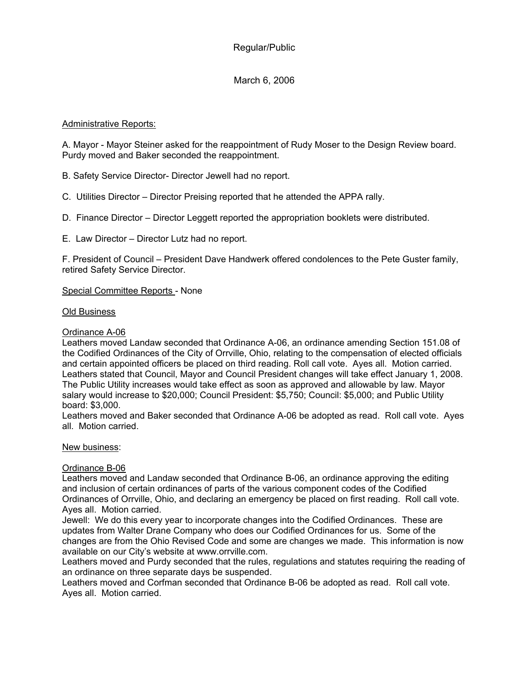# Regular/Public

# March 6, 2006

## Administrative Reports:

A. Mayor - Mayor Steiner asked for the reappointment of Rudy Moser to the Design Review board. Purdy moved and Baker seconded the reappointment.

B. Safety Service Director- Director Jewell had no report.

- C. Utilities Director Director Preising reported that he attended the APPA rally.
- D. Finance Director Director Leggett reported the appropriation booklets were distributed.
- E. Law Director Director Lutz had no report.

F. President of Council – President Dave Handwerk offered condolences to the Pete Guster family, retired Safety Service Director.

#### Special Committee Reports - None

#### Old Business

#### Ordinance A-06

Leathers moved Landaw seconded that Ordinance A-06, an ordinance amending Section 151.08 of the Codified Ordinances of the City of Orrville, Ohio, relating to the compensation of elected officials and certain appointed officers be placed on third reading. Roll call vote. Ayes all. Motion carried. Leathers stated that Council, Mayor and Council President changes will take effect January 1, 2008. The Public Utility increases would take effect as soon as approved and allowable by law. Mayor salary would increase to \$20,000; Council President: \$5,750; Council: \$5,000; and Public Utility board: \$3,000.

Leathers moved and Baker seconded that Ordinance A-06 be adopted as read. Roll call vote. Ayes all. Motion carried.

#### New business:

#### Ordinance B-06

Leathers moved and Landaw seconded that Ordinance B-06, an ordinance approving the editing and inclusion of certain ordinances of parts of the various component codes of the Codified Ordinances of Orrville, Ohio, and declaring an emergency be placed on first reading. Roll call vote. Ayes all. Motion carried.

Jewell: We do this every year to incorporate changes into the Codified Ordinances. These are updates from Walter Drane Company who does our Codified Ordinances for us. Some of the changes are from the Ohio Revised Code and some are changes we made. This information is now available on our City's website at www.orrville.com.

Leathers moved and Purdy seconded that the rules, regulations and statutes requiring the reading of an ordinance on three separate days be suspended.

Leathers moved and Corfman seconded that Ordinance B-06 be adopted as read. Roll call vote. Ayes all. Motion carried.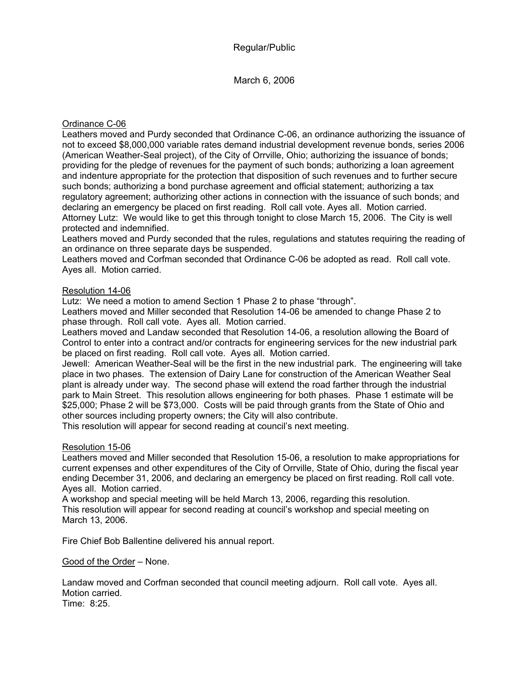March 6, 2006

## Ordinance C-06

Leathers moved and Purdy seconded that Ordinance C-06, an ordinance authorizing the issuance of not to exceed \$8,000,000 variable rates demand industrial development revenue bonds, series 2006 (American Weather-Seal project), of the City of Orrville, Ohio; authorizing the issuance of bonds; providing for the pledge of revenues for the payment of such bonds; authorizing a loan agreement and indenture appropriate for the protection that disposition of such revenues and to further secure such bonds; authorizing a bond purchase agreement and official statement; authorizing a tax regulatory agreement; authorizing other actions in connection with the issuance of such bonds; and declaring an emergency be placed on first reading. Roll call vote. Ayes all. Motion carried. Attorney Lutz: We would like to get this through tonight to close March 15, 2006. The City is well protected and indemnified.

Leathers moved and Purdy seconded that the rules, regulations and statutes requiring the reading of an ordinance on three separate days be suspended.

Leathers moved and Corfman seconded that Ordinance C-06 be adopted as read. Roll call vote. Ayes all. Motion carried.

## Resolution 14-06

Lutz: We need a motion to amend Section 1 Phase 2 to phase "through".

Leathers moved and Miller seconded that Resolution 14-06 be amended to change Phase 2 to phase through. Roll call vote. Ayes all. Motion carried.

Leathers moved and Landaw seconded that Resolution 14-06, a resolution allowing the Board of Control to enter into a contract and/or contracts for engineering services for the new industrial park be placed on first reading. Roll call vote. Ayes all. Motion carried.

Jewell: American Weather-Seal will be the first in the new industrial park. The engineering will take place in two phases. The extension of Dairy Lane for construction of the American Weather Seal plant is already under way. The second phase will extend the road farther through the industrial park to Main Street. This resolution allows engineering for both phases. Phase 1 estimate will be \$25,000; Phase 2 will be \$73,000. Costs will be paid through grants from the State of Ohio and other sources including property owners; the City will also contribute.

This resolution will appear for second reading at council's next meeting.

## Resolution 15-06

Leathers moved and Miller seconded that Resolution 15-06, a resolution to make appropriations for current expenses and other expenditures of the City of Orrville, State of Ohio, during the fiscal year ending December 31, 2006, and declaring an emergency be placed on first reading. Roll call vote. Ayes all. Motion carried.

A workshop and special meeting will be held March 13, 2006, regarding this resolution. This resolution will appear for second reading at council's workshop and special meeting on March 13, 2006.

Fire Chief Bob Ballentine delivered his annual report.

Good of the Order – None.

Landaw moved and Corfman seconded that council meeting adjourn. Roll call vote. Ayes all. Motion carried.

Time: 8:25.